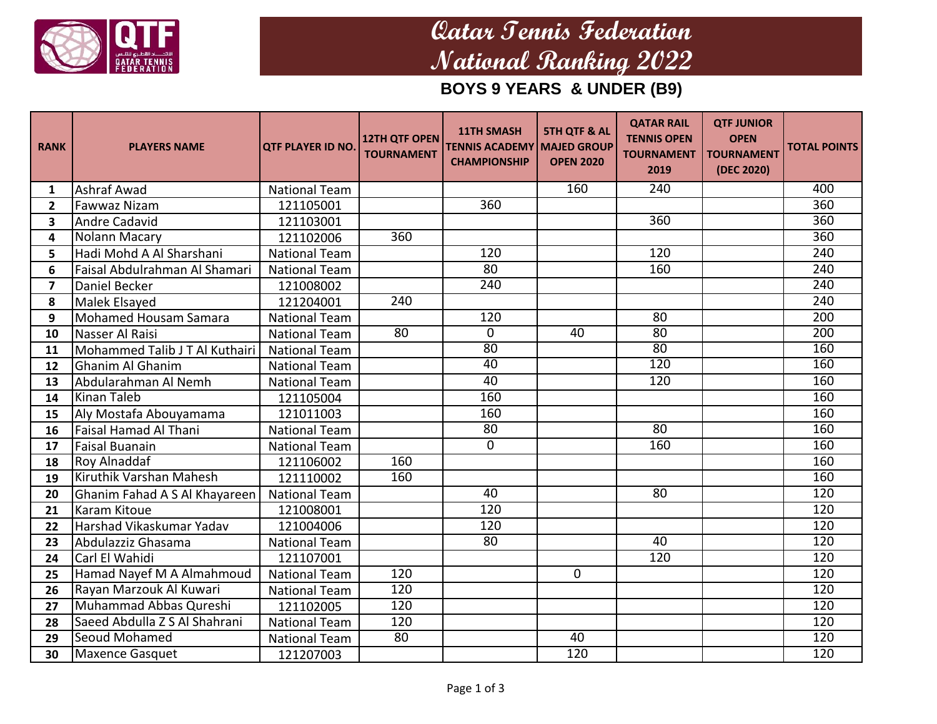

# **Qatar Tennis Federation National Ranking 2022**

**BOYS 9 YEARS & UNDER (B9)**

| <b>RANK</b>             | <b>PLAYERS NAME</b>            | <b>QTF PLAYER ID NO.</b> | <b>12TH QTF OPEN</b><br><b>TOURNAMENT</b> | <b>11TH SMASH</b><br><b>TENNIS ACADEMY   MAJED GROUP</b><br><b>CHAMPIONSHIP</b> | <b>5TH QTF &amp; AL</b><br><b>OPEN 2020</b> | <b>QATAR RAIL</b><br><b>TENNIS OPEN</b><br><b>TOURNAMENT</b><br>2019 | <b>QTF JUNIOR</b><br><b>OPEN</b><br><b>TOURNAMENT</b><br>(DEC 2020) | <b>TOTAL POINTS</b> |
|-------------------------|--------------------------------|--------------------------|-------------------------------------------|---------------------------------------------------------------------------------|---------------------------------------------|----------------------------------------------------------------------|---------------------------------------------------------------------|---------------------|
| 1                       | Ashraf Awad                    | <b>National Team</b>     |                                           |                                                                                 | 160                                         | 240                                                                  |                                                                     | 400                 |
| $\overline{2}$          | <b>Fawwaz Nizam</b>            | 121105001                |                                           | 360                                                                             |                                             |                                                                      |                                                                     | $\overline{360}$    |
| $\overline{\mathbf{3}}$ | <b>Andre Cadavid</b>           | 121103001                |                                           |                                                                                 |                                             | 360                                                                  |                                                                     | 360                 |
| 4                       | Nolann Macary                  | 121102006                | $\overline{360}$                          |                                                                                 |                                             |                                                                      |                                                                     | $\overline{360}$    |
| 5                       | Hadi Mohd A Al Sharshani       | <b>National Team</b>     |                                           | 120                                                                             |                                             | 120                                                                  |                                                                     | 240                 |
| 6                       | Faisal Abdulrahman Al Shamari  | <b>National Team</b>     |                                           | $\overline{80}$                                                                 |                                             | 160                                                                  |                                                                     | 240                 |
| $\overline{7}$          | Daniel Becker                  | 121008002                |                                           | 240                                                                             |                                             |                                                                      |                                                                     | 240                 |
| 8                       | Malek Elsayed                  | 121204001                | 240                                       |                                                                                 |                                             |                                                                      |                                                                     | 240                 |
| 9                       | <b>Mohamed Housam Samara</b>   | <b>National Team</b>     |                                           | 120                                                                             |                                             | 80                                                                   |                                                                     | $\overline{200}$    |
| 10                      | Nasser Al Raisi                | <b>National Team</b>     | $\overline{80}$                           | $\overline{0}$                                                                  | $\overline{40}$                             | 80                                                                   |                                                                     | $\overline{200}$    |
| 11                      | Mohammed Talib J T Al Kuthairi | <b>National Team</b>     |                                           | $\overline{80}$                                                                 |                                             | 80                                                                   |                                                                     | 160                 |
| 12                      | Ghanim Al Ghanim               | <b>National Team</b>     |                                           | 40                                                                              |                                             | 120                                                                  |                                                                     | 160                 |
| 13                      | Abdularahman Al Nemh           | <b>National Team</b>     |                                           | 40                                                                              |                                             | 120                                                                  |                                                                     | 160                 |
| 14                      | Kinan Taleb                    | 121105004                |                                           | 160                                                                             |                                             |                                                                      |                                                                     | 160                 |
| 15                      | Aly Mostafa Abouyamama         | 121011003                |                                           | 160                                                                             |                                             |                                                                      |                                                                     | 160                 |
| 16                      | <b>Faisal Hamad Al Thani</b>   | <b>National Team</b>     |                                           | 80                                                                              |                                             | 80                                                                   |                                                                     | 160                 |
| 17                      | <b>Faisal Buanain</b>          | National Team            |                                           | $\overline{0}$                                                                  |                                             | 160                                                                  |                                                                     | 160                 |
| 18                      | Roy Alnaddaf                   | 121106002                | 160                                       |                                                                                 |                                             |                                                                      |                                                                     | 160                 |
| 19                      | Kiruthik Varshan Mahesh        | 121110002                | 160                                       |                                                                                 |                                             |                                                                      |                                                                     | 160                 |
| 20                      | Ghanim Fahad A S Al Khayareen  | <b>National Team</b>     |                                           | 40                                                                              |                                             | 80                                                                   |                                                                     | 120                 |
| 21                      | Karam Kitoue                   | 121008001                |                                           | 120                                                                             |                                             |                                                                      |                                                                     | 120                 |
| 22                      | Harshad Vikaskumar Yadav       | 121004006                |                                           | 120                                                                             |                                             |                                                                      |                                                                     | 120                 |
| 23                      | Abdulazziz Ghasama             | National Team            |                                           | $\overline{80}$                                                                 |                                             | 40                                                                   |                                                                     | 120                 |
| 24                      | Carl El Wahidi                 | 121107001                |                                           |                                                                                 |                                             | 120                                                                  |                                                                     | 120                 |
| 25                      | Hamad Nayef M A Almahmoud      | <b>National Team</b>     | 120                                       |                                                                                 | $\mathbf{0}$                                |                                                                      |                                                                     | 120                 |
| 26                      | Rayan Marzouk Al Kuwari        | <b>National Team</b>     | 120                                       |                                                                                 |                                             |                                                                      |                                                                     | 120                 |
| 27                      | Muhammad Abbas Qureshi         | 121102005                | 120                                       |                                                                                 |                                             |                                                                      |                                                                     | 120                 |
| 28                      | Saeed Abdulla Z S Al Shahrani  | <b>National Team</b>     | 120                                       |                                                                                 |                                             |                                                                      |                                                                     | 120                 |
| 29                      | Seoud Mohamed                  | <b>National Team</b>     | 80                                        |                                                                                 | 40                                          |                                                                      |                                                                     | 120                 |
| 30                      | <b>Maxence Gasquet</b>         | 121207003                |                                           |                                                                                 | 120                                         |                                                                      |                                                                     | 120                 |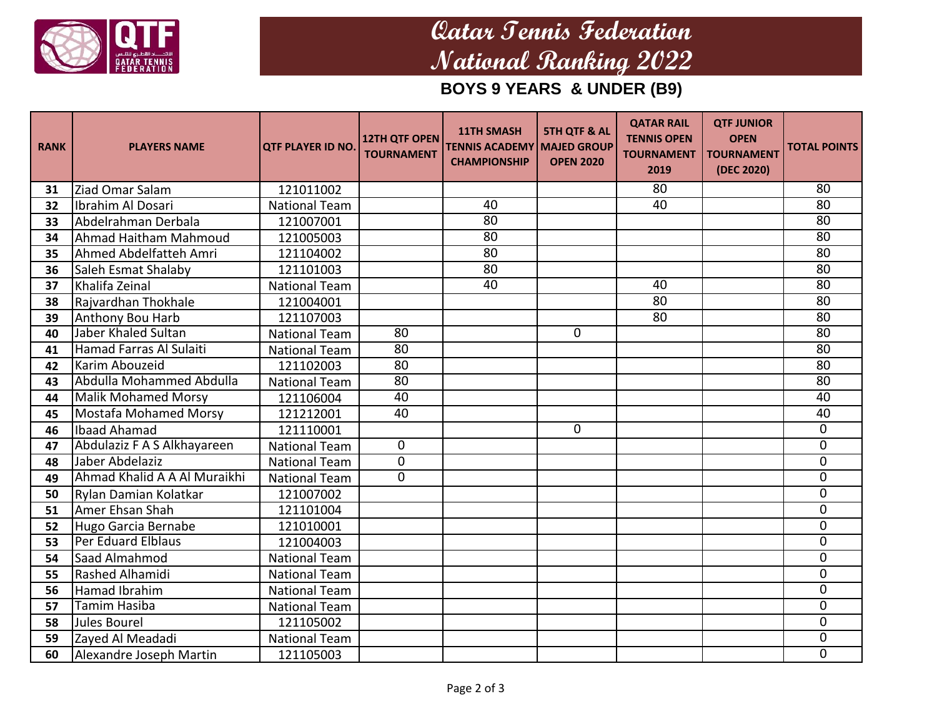

# **Qatar Tennis Federation National Ranking 2022**

## **BOYS 9 YEARS & UNDER (B9)**

| <b>RANK</b> | <b>PLAYERS NAME</b>          | <b>QTF PLAYER ID NO.</b> | <b>12TH QTF OPEN</b><br><b>TOURNAMENT</b> | <b>11TH SMASH</b><br><b>TENNIS ACADEMY MAJED GROUP</b><br><b>CHAMPIONSHIP</b> | <b>5TH QTF &amp; AL</b><br><b>OPEN 2020</b> | <b>QATAR RAIL</b><br><b>TENNIS OPEN</b><br><b>TOURNAMENT</b><br>2019 | <b>QTF JUNIOR</b><br><b>OPEN</b><br><b>TOURNAMENT</b><br>(DEC 2020) | <b>TOTAL POINTS</b> |
|-------------|------------------------------|--------------------------|-------------------------------------------|-------------------------------------------------------------------------------|---------------------------------------------|----------------------------------------------------------------------|---------------------------------------------------------------------|---------------------|
| 31          | Ziad Omar Salam              | 121011002                |                                           |                                                                               |                                             | 80                                                                   |                                                                     | 80                  |
| 32          | Ibrahim Al Dosari            | <b>National Team</b>     |                                           | 40                                                                            |                                             | 40                                                                   |                                                                     | $\overline{80}$     |
| 33          | Abdelrahman Derbala          | 121007001                |                                           | 80                                                                            |                                             |                                                                      |                                                                     | $\overline{80}$     |
| 34          | Ahmad Haitham Mahmoud        | 121005003                |                                           | 80                                                                            |                                             |                                                                      |                                                                     | $\overline{80}$     |
| 35          | Ahmed Abdelfatteh Amri       | 121104002                |                                           | 80                                                                            |                                             |                                                                      |                                                                     | $\overline{80}$     |
| 36          | Saleh Esmat Shalaby          | 121101003                |                                           | 80                                                                            |                                             |                                                                      |                                                                     | $\overline{80}$     |
| 37          | Khalifa Zeinal               | <b>National Team</b>     |                                           | 40                                                                            |                                             | 40                                                                   |                                                                     | 80                  |
| 38          | Rajvardhan Thokhale          | 121004001                |                                           |                                                                               |                                             | 80                                                                   |                                                                     | $\overline{80}$     |
| 39          | Anthony Bou Harb             | 121107003                |                                           |                                                                               |                                             | 80                                                                   |                                                                     | $\overline{80}$     |
| 40          | <b>Jaber Khaled Sultan</b>   | <b>National Team</b>     | $\overline{80}$                           |                                                                               | $\mathbf 0$                                 |                                                                      |                                                                     | $\overline{80}$     |
| 41          | Hamad Farras Al Sulaiti      | <b>National Team</b>     | 80                                        |                                                                               |                                             |                                                                      |                                                                     | $\overline{80}$     |
| 42          | Karim Abouzeid               | 121102003                | $\overline{80}$                           |                                                                               |                                             |                                                                      |                                                                     | $\overline{80}$     |
| 43          | Abdulla Mohammed Abdulla     | <b>National Team</b>     | $\overline{80}$                           |                                                                               |                                             |                                                                      |                                                                     | $\overline{80}$     |
| 44          | Malik Mohamed Morsy          | 121106004                | 40                                        |                                                                               |                                             |                                                                      |                                                                     | 40                  |
| 45          | <b>Mostafa Mohamed Morsy</b> | 121212001                | $\overline{40}$                           |                                                                               |                                             |                                                                      |                                                                     | 40                  |
| 46          | Ibaad Ahamad                 | 121110001                |                                           |                                                                               | $\mathbf{0}$                                |                                                                      |                                                                     | 0                   |
| 47          | Abdulaziz F A S Alkhayareen  | <b>National Team</b>     | 0                                         |                                                                               |                                             |                                                                      |                                                                     | $\overline{0}$      |
| 48          | Jaber Abdelaziz              | <b>National Team</b>     | $\Omega$                                  |                                                                               |                                             |                                                                      |                                                                     | 0                   |
| 49          | Ahmad Khalid A A Al Muraikhi | <b>National Team</b>     | $\Omega$                                  |                                                                               |                                             |                                                                      |                                                                     | $\mathbf 0$         |
| 50          | Rylan Damian Kolatkar        | 121007002                |                                           |                                                                               |                                             |                                                                      |                                                                     | 0                   |
| 51          | Amer Ehsan Shah              | 121101004                |                                           |                                                                               |                                             |                                                                      |                                                                     | $\overline{0}$      |
| 52          | Hugo Garcia Bernabe          | 121010001                |                                           |                                                                               |                                             |                                                                      |                                                                     | $\mathbf 0$         |
| 53          | Per Eduard Elblaus           | 121004003                |                                           |                                                                               |                                             |                                                                      |                                                                     | $\overline{0}$      |
| 54          | Saad Almahmod                | <b>National Team</b>     |                                           |                                                                               |                                             |                                                                      |                                                                     | 0                   |
| 55          | Rashed Alhamidi              | <b>National Team</b>     |                                           |                                                                               |                                             |                                                                      |                                                                     | $\overline{0}$      |
| 56          | Hamad Ibrahim                | <b>National Team</b>     |                                           |                                                                               |                                             |                                                                      |                                                                     | 0                   |
| 57          | <b>Tamim Hasiba</b>          | <b>National Team</b>     |                                           |                                                                               |                                             |                                                                      |                                                                     | 0                   |
| 58          | Jules Bourel                 | 121105002                |                                           |                                                                               |                                             |                                                                      |                                                                     | $\mathbf 0$         |
| 59          | Zayed Al Meadadi             | <b>National Team</b>     |                                           |                                                                               |                                             |                                                                      |                                                                     | 0                   |
| 60          | Alexandre Joseph Martin      | 121105003                |                                           |                                                                               |                                             |                                                                      |                                                                     | $\overline{0}$      |